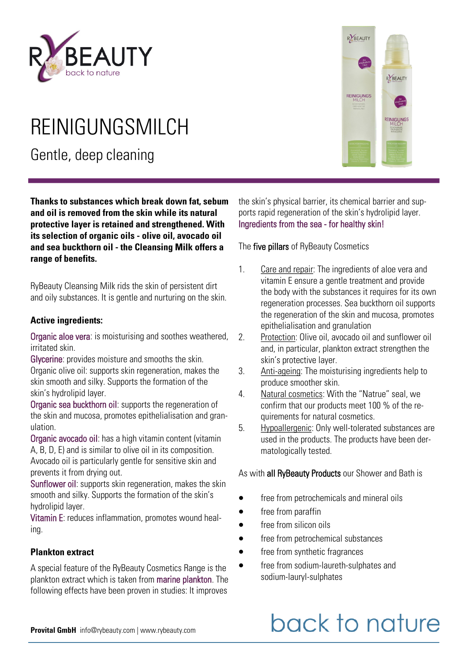

## REINIGUNGSMILCH

Gentle, deep cleaning

**Thanks to substances which break down fat, sebum and oil is removed from the skin while its natural protective layer is retained and strengthened. With its selection of organic oils - olive oil, avocado oil and sea buckthorn oil - the Cleansing Milk offers a range of benefits.** 

RyBeauty Cleansing Milk rids the skin of persistent dirt and oily substances. It is gentle and nurturing on the skin.

#### **Active ingredients:**

Organic aloe vera: is moisturising and soothes weathered, irritated skin.

Glycerine: provides moisture and smooths the skin. Organic olive oil: supports skin regeneration, makes the skin smooth and silky. Supports the formation of the skin's hydrolipid layer.

Organic sea buckthorn oil: supports the regeneration of the skin and mucosa, promotes epithelialisation and granulation.

Organic avocado oil: has a high vitamin content (vitamin A, B, D, E) and is similar to olive oil in its composition. Avocado oil is particularly gentle for sensitive skin and prevents it from drying out.

Sunflower oil: supports skin regeneration, makes the skin smooth and silky. Supports the formation of the skin's hydrolipid layer.

Vitamin E: reduces inflammation, promotes wound healing.

#### **Plankton extract**

A special feature of the RyBeauty Cosmetics Range is the plankton extract which is taken from marine plankton. The following effects have been proven in studies: It improves



RYBEAUTY

RYBEAUTY

The five pillars of RyBeauty Cosmetics

- 1. Care and repair: The ingredients of aloe vera and vitamin E ensure a gentle treatment and provide the body with the substances it requires for its own regeneration processes. Sea buckthorn oil supports the regeneration of the skin and mucosa, promotes epithelialisation and granulation
- 2. Protection: Olive oil, avocado oil and sunflower oil and, in particular, plankton extract strengthen the skin's protective layer.
- 3. Anti-ageing: The moisturising ingredients help to produce smoother skin.
- 4. Natural cosmetics: With the "Natrue" seal, we confirm that our products meet 100 % of the requirements for natural cosmetics.
- 5. Hypoallergenic: Only well-tolerated substances are used in the products. The products have been dermatologically tested.

As with **all RyBeauty Products** our Shower and Bath is

- free from petrochemicals and mineral oils
- free from paraffin
- free from silicon oils
- free from petrochemical substances
- free from synthetic fragrances
- free from sodium-laureth-sulphates and sodium-lauryl-sulphates

## back to nature

**Provital GmbH** info@rybeauty.com | www.rybeauty.com